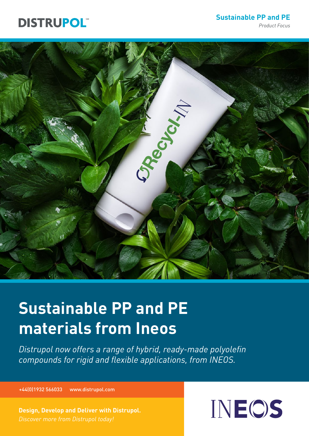## **DISTRUPOL**

**Sustainable PP and PE**

*Product Focus*



# **Sustainable PP and PE materials from Ineos**

*Distrupol now offers a range of hybrid, ready-made polyolefin compounds for rigid and flexible applications, from INEOS.*

+44(0)1932 566033 www.distrupol.com

**Design, Develop and Deliver with Distrupol.** 

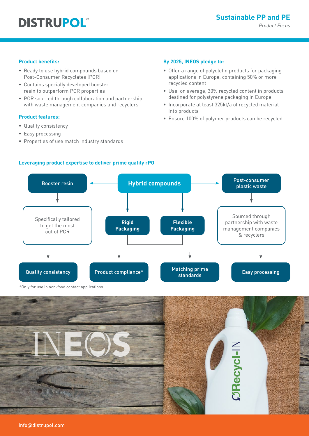#### **Product benefits:**

- Ready to use hybrid compounds based on Post-Consumer Recyclates (PCR)
- Contains specially developed booster resin to outperform PCR properties
- PCR sourced through collaboration and partnership with waste management companies and recyclers

#### **Product features:**

- Quality consistency
- Easy processing
- Properties of use match industry standards

#### **By 2025, INEOS pledge to:**

- Offer a range of polyolefin products for packaging applications in Europe, containing 50% or more recycled content
- Use, on average, 30% recycled content in products destined for polystyrene packaging in Europe
- Incorporate at least 325kt/a of recycled material into products
- Ensure 100% of polymer products can be recycled



#### **Leveraging product expertise to deliver prime quality rPO**

\*Only for use in non-food contact applications

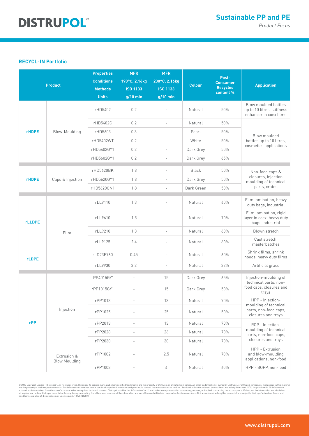### **DISTRUPOL®**

#### **RECYCL-IN Portfolio**

| <b>Product</b> |                                     | <b>Properties</b> | <b>MFR</b>               | <b>MFR</b>               | <b>Colour</b> | Post-<br><b>Consumer</b> | <b>Application</b>                                                                       |
|----------------|-------------------------------------|-------------------|--------------------------|--------------------------|---------------|--------------------------|------------------------------------------------------------------------------------------|
|                |                                     | <b>Conditions</b> | 190°C, 2.16kg            | 230°C, 2.16kg            |               |                          |                                                                                          |
|                |                                     | <b>Methods</b>    | <b>ISO 1133</b>          | <b>ISO 1133</b>          |               | Recycled<br>content %    |                                                                                          |
|                |                                     | <b>Units</b>      | $g/10$ min               | $g/10$ min               |               |                          |                                                                                          |
| <b>rHDPE</b>   | Blow-Moulding                       | rHD5402           | 0.2                      |                          | Natural       | 50%                      | Blow moulded bottles<br>up to 10 litres, stiffness<br>enhancer in coex films             |
|                |                                     | rHD5402C          | 0.2                      | $\overline{\phantom{a}}$ | Natural       | 50%                      | Blow moulded<br>bottles up to 10 litres,<br>cosmetics applications                       |
|                |                                     | rHD5603           | 0.3                      | $\overline{\phantom{a}}$ | Pearl         | 50%                      |                                                                                          |
|                |                                     | rHD5402WT         | 0.2                      | $\overline{a}$           | White         | 50%                      |                                                                                          |
|                |                                     | rHD5402GY1        | 0.2                      | $\overline{a}$           | Dark Grey     | 50%                      |                                                                                          |
|                |                                     | rHD5602GY1        | 0.2                      | $\overline{\phantom{a}}$ | Dark Grey     | 65%                      |                                                                                          |
| <b>rHDPE</b>   | Caps & Injection                    | rHD5620BK         | 1.8                      | $\overline{a}$           | <b>Black</b>  | 50%                      | Non-food caps &<br>closures, injection<br>moulding of technical<br>parts, crates         |
|                |                                     | rHD5620GY1        | 1.8                      | $\overline{a}$           | Dark Grey     | 50%                      |                                                                                          |
|                |                                     | rHD5620GN1        | 1.8                      | $\overline{\phantom{a}}$ | Dark Green    | 50%                      |                                                                                          |
|                |                                     |                   |                          |                          |               |                          |                                                                                          |
| <b>rLLDPE</b>  | Film                                | rLL9110           | 1.3                      |                          | Natural       | 60%                      | Film lamination, heavy<br>duty bags, industrial                                          |
|                |                                     | rLL9610           | 1.5                      |                          | Natural       | 70%                      | Film lamination, rigid<br>layer in coex, heavy duty<br>bags, industrial                  |
|                |                                     | rLL9210           | 1.3                      | $\overline{a}$           | Natural       | 60%                      | Blown stretch                                                                            |
|                |                                     | rLL9125           | 2.4                      | $\overline{a}$           | Natural       | 60%                      | Cast stretch,<br>masterbatches                                                           |
| <b>rLDPE</b>   |                                     | rLD23E760         | 0.45                     | $\overline{a}$           | Natural       | 60%                      | Shrink films, shrink<br>hoods, heavy duty films                                          |
|                |                                     | rLL9930           | 3.2                      | $\overline{\phantom{a}}$ | Natural       | 32%                      | Artificial grass                                                                         |
| rPP            | Injection                           | rPP4015GY1        | $\overline{a}$           | 15                       | Dark Grey     | 65%                      | Injection-moulding of<br>technical parts, non-<br>food caps, closures and<br>trays       |
|                |                                     | rPP1015GY1        |                          | 15                       | Dark Grey     | 50%                      |                                                                                          |
|                |                                     | rPP1013           |                          | 13                       | Natural       | $70%$                    | HPP - Injection-<br>moulding of technical<br>parts, non-food caps,<br>closures and trays |
|                |                                     | rPP1025           |                          | 25                       | Natural       | 50%                      |                                                                                          |
|                |                                     | rPP2013           |                          | 13                       | Natural       | 70%                      | RCP - Injection-<br>moulding of technical<br>parts, non-food caps,<br>closures and trays |
|                |                                     | rPP2028           |                          | 26                       | Natural       | 70%                      |                                                                                          |
|                |                                     | rPP2030           | $\overline{\phantom{0}}$ | 30                       | Natural       | 70%                      |                                                                                          |
|                | Extrusion &<br><b>Blow Moulding</b> | rPP1002           |                          | 2.5                      | Natural       | 70%                      | HPP - Extrusion<br>and blow-moulding<br>applications, non-food                           |
|                |                                     | rPP1003           |                          | 4                        | Natural       | 60%                      | HPP - BOPP, non-food                                                                     |

@ 2022 Distrupol Limited ("Distrupol"). All rights reserved. Distrupol, its service mark, and other identified trademarks are the property of Distrupol or affiliated companies. All other trademarks not owned by Distrupol,